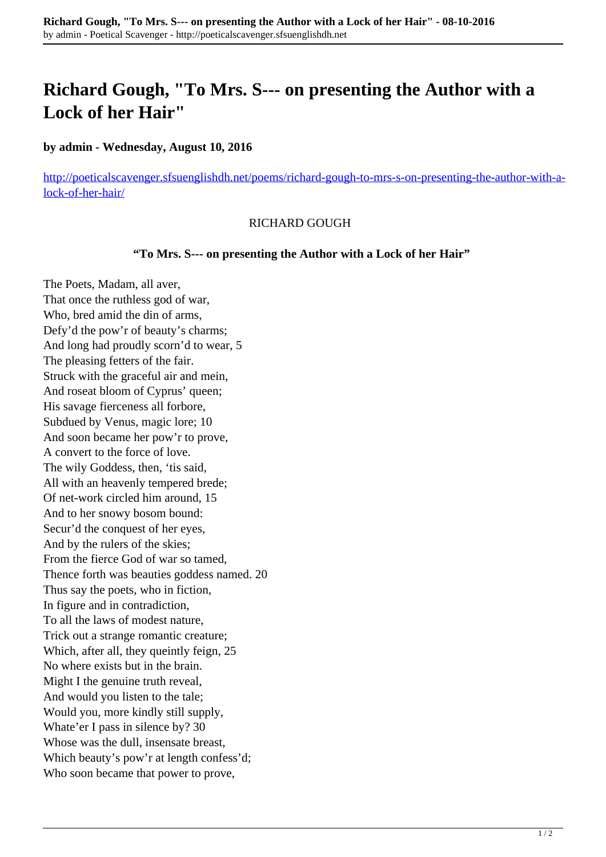# **Richard Gough, "To Mrs. S--- on presenting the Author with a Lock of her Hair"**

### **by admin - Wednesday, August 10, 2016**

[http://poeticalscavenger.sfsuenglishdh.net/poems/richard-gough-to-mrs-s-on-presenting-the-author-with-a](http://poeticalscavenger.sfsuenglishdh.net/poems/richard-gough-to-mrs-s-on-presenting-the-author-with-a-lock-of-her-hair/)[lock-of-her-hair/](http://poeticalscavenger.sfsuenglishdh.net/poems/richard-gough-to-mrs-s-on-presenting-the-author-with-a-lock-of-her-hair/)

#### RICHARD GOUGH

#### **"To Mrs. S--- on presenting the Author with a Lock of her Hair"**

The Poets, Madam, all aver, That once the ruthless god of war, Who, bred amid the din of arms, Defy'd the pow'r of beauty's charms; And long had proudly scorn'd to wear, 5 The pleasing fetters of the fair. Struck with the graceful air and mein, And roseat bloom of Cyprus' queen; His savage fierceness all forbore, Subdued by Venus, magic lore; 10 And soon became her pow'r to prove, A convert to the force of love. The wily Goddess, then, 'tis said, All with an heavenly tempered brede; Of net-work circled him around, 15 And to her snowy bosom bound: Secur'd the conquest of her eyes, And by the rulers of the skies; From the fierce God of war so tamed, Thence forth was beauties goddess named. 20 Thus say the poets, who in fiction, In figure and in contradiction, To all the laws of modest nature, Trick out a strange romantic creature; Which, after all, they queintly feign, 25 No where exists but in the brain. Might I the genuine truth reveal, And would you listen to the tale; Would you, more kindly still supply, Whate'er I pass in silence by? 30 Whose was the dull, insensate breast, Which beauty's pow'r at length confess'd; Who soon became that power to prove,